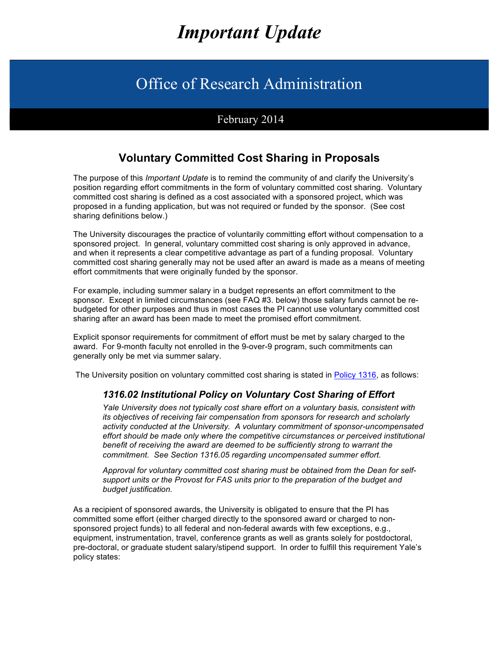# *Important Update*

## Office of Research Administration

## February 2014

## **Voluntary Committed Cost Sharing in Proposals**

The purpose of this *Important Update* is to remind the community of and clarify the University's position regarding effort commitments in the form of voluntary committed cost sharing. Voluntary committed cost sharing is defined as a cost associated with a sponsored project, which was proposed in a funding application, but was not required or funded by the sponsor. (See cost sharing definitions below.)

The University discourages the practice of voluntarily committing effort without compensation to a sponsored project. In general, voluntary committed cost sharing is only approved in advance, and when it represents a clear competitive advantage as part of a funding proposal. Voluntary committed cost sharing generally may not be used after an award is made as a means of meeting effort commitments that were originally funded by the sponsor.

For example, including summer salary in a budget represents an effort commitment to the sponsor. Except in limited circumstances (see FAQ #3. below) those salary funds cannot be rebudgeted for other purposes and thus in most cases the PI cannot use voluntary committed cost sharing after an award has been made to meet the promised effort commitment.

Explicit sponsor requirements for commitment of effort must be met by salary charged to the award. For 9-month faculty not enrolled in the 9-over-9 program, such commitments can generally only be met via summer salary.

The University position on voluntary committed cost sharing is stated in Policy 1316, as follows:

#### *1316.02 Institutional Policy on Voluntary Cost Sharing of Effort*

*Yale University does not typically cost share effort on a voluntary basis, consistent with its objectives of receiving fair compensation from sponsors for research and scholarly activity conducted at the University. A voluntary commitment of sponsor-uncompensated effort should be made only where the competitive circumstances or perceived institutional benefit of receiving the award are deemed to be sufficiently strong to warrant the commitment. See Section 1316.05 regarding uncompensated summer effort.*

*Approval for voluntary committed cost sharing must be obtained from the Dean for selfsupport units or the Provost for FAS units prior to the preparation of the budget and budget justification.*

As a recipient of sponsored awards, the University is obligated to ensure that the PI has committed some effort (either charged directly to the sponsored award or charged to nonsponsored project funds) to all federal and non-federal awards with few exceptions, e.g., equipment, instrumentation, travel, conference grants as well as grants solely for postdoctoral, pre-doctoral, or graduate student salary/stipend support. In order to fulfill this requirement Yale's policy states: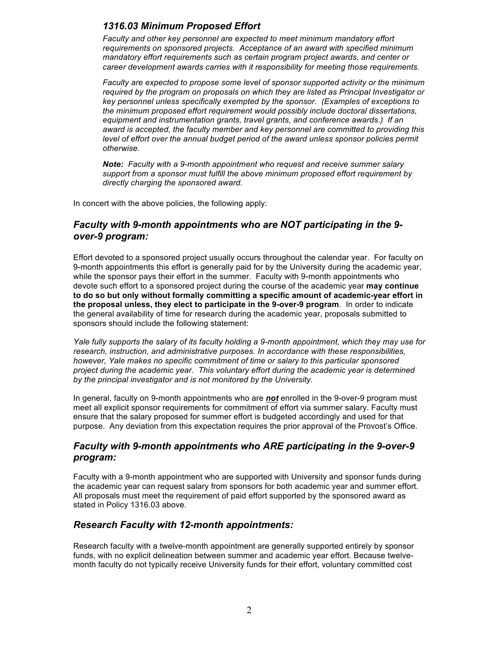### *1316.03 Minimum Proposed Effort*

*Faculty and other key personnel are expected to meet minimum mandatory effort requirements on sponsored projects. Acceptance of an award with specified minimum mandatory effort requirements such as certain program project awards, and center or career development awards carries with it responsibility for meeting those requirements.*

*Faculty are expected to propose some level of sponsor supported activity or the minimum required by the program on proposals on which they are listed as Principal Investigator or key personnel unless specifically exempted by the sponsor. (Examples of exceptions to the minimum proposed effort requirement would possibly include doctoral dissertations, equipment and instrumentation grants, travel grants, and conference awards.) If an award is accepted, the faculty member and key personnel are committed to providing this*  level of effort over the annual budget period of the award unless sponsor policies permit *otherwise.*

*Note: Faculty with a 9-month appointment who request and receive summer salary support from a sponsor must fulfill the above minimum proposed effort requirement by directly charging the sponsored award.* 

In concert with the above policies, the following apply:

#### *Faculty with 9-month appointments who are NOT participating in the 9 over-9 program:*

Effort devoted to a sponsored project usually occurs throughout the calendar year. For faculty on 9-month appointments this effort is generally paid for by the University during the academic year, while the sponsor pays their effort in the summer. Faculty with 9-month appointments who devote such effort to a sponsored project during the course of the academic year **may continue to do so but only without formally committing a specific amount of academic-year effort in the proposal unless, they elect to participate in the 9-over-9 program**. In order to indicate the general availability of time for research during the academic year, proposals submitted to sponsors should include the following statement:

*Yale fully supports the salary of its faculty holding a 9-month appointment, which they may use for research, instruction, and administrative purposes. In accordance with these responsibilities, however, Yale makes no specific commitment of time or salary to this particular sponsored project during the academic year. This voluntary effort during the academic year is determined by the principal investigator and is not monitored by the University.*

In general, faculty on 9-month appointments who are *not* enrolled in the 9-over-9 program must meet all explicit sponsor requirements for commitment of effort via summer salary. Faculty must ensure that the salary proposed for summer effort is budgeted accordingly and used for that purpose. Any deviation from this expectation requires the prior approval of the Provost's Office.

#### *Faculty with 9-month appointments who ARE participating in the 9-over-9 program:*

Faculty with a 9-month appointment who are supported with University and sponsor funds during the academic year can request salary from sponsors for both academic year and summer effort. All proposals must meet the requirement of paid effort supported by the sponsored award as stated in Policy 1316.03 above.

#### *Research Faculty with 12-month appointments:*

Research faculty with a twelve-month appointment are generally supported entirely by sponsor funds, with no explicit delineation between summer and academic year effort. Because twelvemonth faculty do not typically receive University funds for their effort, voluntary committed cost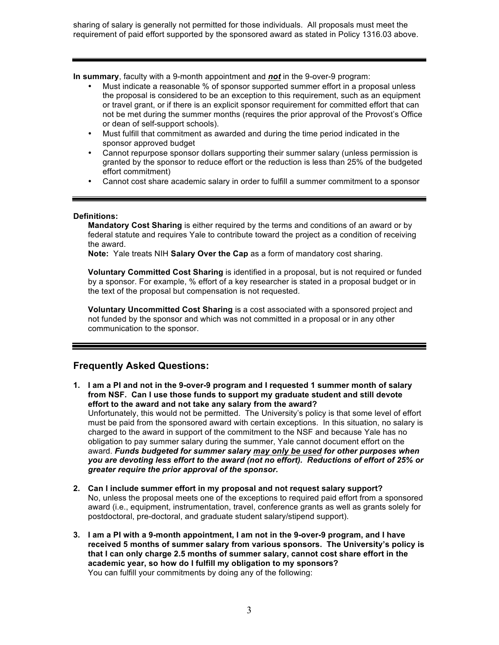sharing of salary is generally not permitted for those individuals. All proposals must meet the requirement of paid effort supported by the sponsored award as stated in Policy 1316.03 above.

**In summary**, faculty with a 9-month appointment and *not* in the 9-over-9 program:

- Must indicate a reasonable % of sponsor supported summer effort in a proposal unless the proposal is considered to be an exception to this requirement, such as an equipment or travel grant, or if there is an explicit sponsor requirement for committed effort that can not be met during the summer months (requires the prior approval of the Provost's Office or dean of self-support schools).
- Must fulfill that commitment as awarded and during the time period indicated in the sponsor approved budget
- Cannot repurpose sponsor dollars supporting their summer salary (unless permission is granted by the sponsor to reduce effort or the reduction is less than 25% of the budgeted effort commitment)
- Cannot cost share academic salary in order to fulfill a summer commitment to a sponsor

#### **Definitions:**

**Mandatory Cost Sharing** is either required by the terms and conditions of an award or by federal statute and requires Yale to contribute toward the project as a condition of receiving the award.

**Note:** Yale treats NIH **Salary Over the Cap** as a form of mandatory cost sharing.

**Voluntary Committed Cost Sharing** is identified in a proposal, but is not required or funded by a sponsor. For example, % effort of a key researcher is stated in a proposal budget or in the text of the proposal but compensation is not requested.

**Voluntary Uncommitted Cost Sharing** is a cost associated with a sponsored project and not funded by the sponsor and which was not committed in a proposal or in any other communication to the sponsor.

#### **Frequently Asked Questions:**

- **1. I am a PI and not in the 9-over-9 program and I requested 1 summer month of salary from NSF. Can I use those funds to support my graduate student and still devote effort to the award and not take any salary from the award?** Unfortunately, this would not be permitted. The University's policy is that some level of effort must be paid from the sponsored award with certain exceptions. In this situation, no salary is charged to the award in support of the commitment to the NSF and because Yale has no obligation to pay summer salary during the summer, Yale cannot document effort on the award. *Funds budgeted for summer salary may only be used for other purposes when you are devoting less effort to the award (not no effort). Reductions of effort of 25% or greater require the prior approval of the sponsor.*
- **2. Can I include summer effort in my proposal and not request salary support?** No, unless the proposal meets one of the exceptions to required paid effort from a sponsored award (i.e., equipment, instrumentation, travel, conference grants as well as grants solely for postdoctoral, pre-doctoral, and graduate student salary/stipend support).
- **3. I am a PI with a 9-month appointment, I am not in the 9-over-9 program, and I have received 5 months of summer salary from various sponsors. The University's policy is that I can only charge 2.5 months of summer salary, cannot cost share effort in the academic year, so how do I fulfill my obligation to my sponsors?** You can fulfill your commitments by doing any of the following: